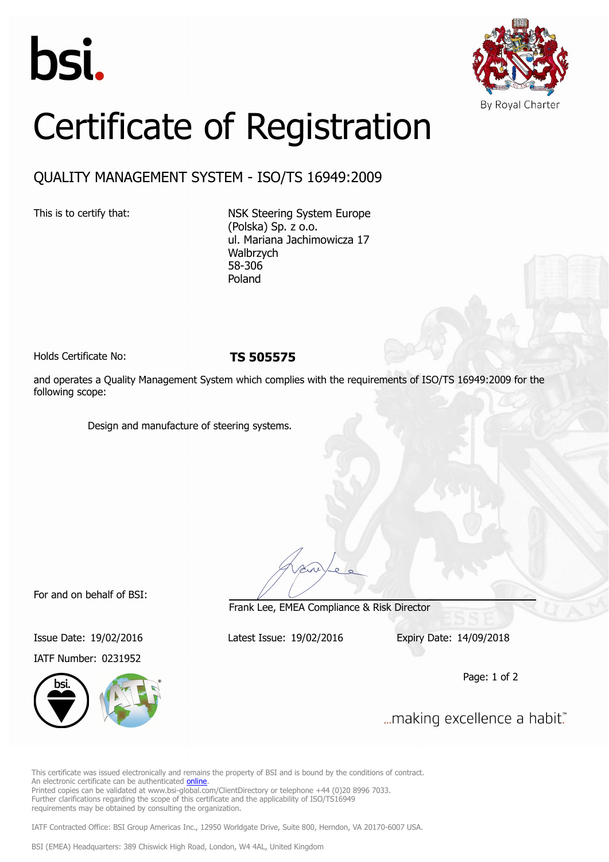



## Certificate of Registration

## QUALITY MANAGEMENT SYSTEM - ISO/TS 16949:2009

This is to certify that: NSK Steering System Europe (Polska) Sp. z o.o. ul. Mariana Jachimowicza 17 Walbrzych 58-306 Poland

Holds Certificate No: **TS 505575**

and operates a Quality Management System which complies with the requirements of ISO/TS 16949:2009 for the following scope:

Design and manufacture of steering systems.

For and on behalf of BSI:

IATF Number: 0231952



Frank Lee, EMEA Compliance & Risk Director

Issue Date: 19/02/2016 Latest Issue: 19/02/2016 Expiry Date: 14/09/2018

Page: 1 of 2

... making excellence a habit."

This certificate was issued electronically and remains the property of BSI and is bound by the conditions of contract. An electronic certificate can be authenticated [online](https://pgplus.bsigroup.com/CertificateValidation/CertificateValidator.aspx?CertificateNumber=TS+505575&ReIssueDate=19%2f02%2f2016&Template=cemea_en). Printed copies can be validated at www.bsi-global.com/ClientDirectory or telephone +44 (0)20 8996 7033. Further clarifications regarding the scope of this certificate and the applicability of ISO/TS16949 requirements may be obtained by consulting the organization.

IATF Contracted Office: BSI Group Americas Inc., 12950 Worldgate Drive, Suite 800, Herndon, VA 20170-6007 USA.

BSI (EMEA) Headquarters: 389 Chiswick High Road, London, W4 4AL, United Kingdom